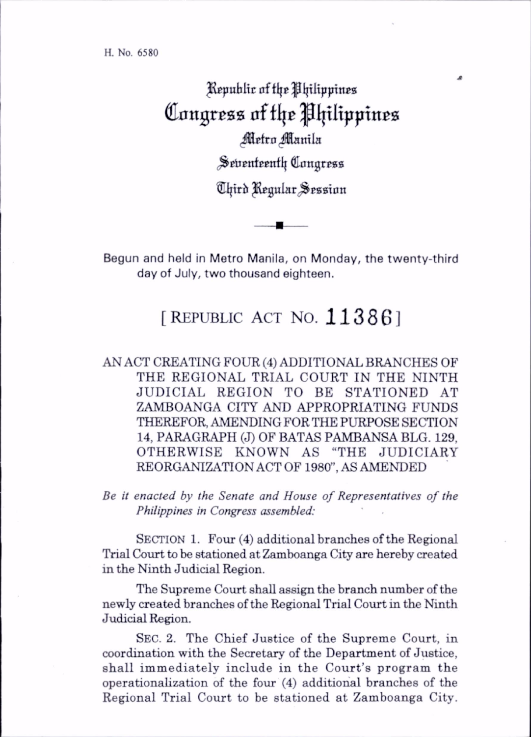^public of flje^lplipptnea Congress of the Philippines Metro Manila Seventeenth Congress ®i|trh ^guiar^^Bsaian

Begun and held in Metro Manila, on Monday, the twenty-third day of July, two thousand eighteen.

## [REPUBLIC ACT NO.  $113861$

AN ACT CREATING FOUR (4) ADDITIONAL BRANCHES OF THE REGIONAL TRIAL COURT IN THE NINTH JUDICIAL REGION TO BE STATIONED AT ZAMBOANGA CITY AND APPROPRIATING FUNDS THEREFOR, AMENDING FOR THE PURPOSE SECTION 14, PARAGRAPH (J) OF BATAS PAMBANSA BLG. 129, OTHERWISE KNOWN AS "THE JUDICIARY REORGANIZATION ACT OF 1980", AS AMENDED

Be it enacted by the Senate and House of Representatives of the Philippines in Congress assembled:

SECTION 1. Four (4) additional branches of the Regional Trial Court to be stationed at Zamboanga City are hereby created in the Ninth Judicial Region.

The Supreme Court shall assign the branch number of the newly created branches of the Regional Trial Court in the Ninth Judicial Region.

Sec. 2. The Chief Justice of the Supreme Court, in coordination with the Secretary of the Department of Justice, shall immediately include in the Court's program the operationahzation of the four (4) additional branches of the Regional Trial Court to be stationed at Zamboanga City.